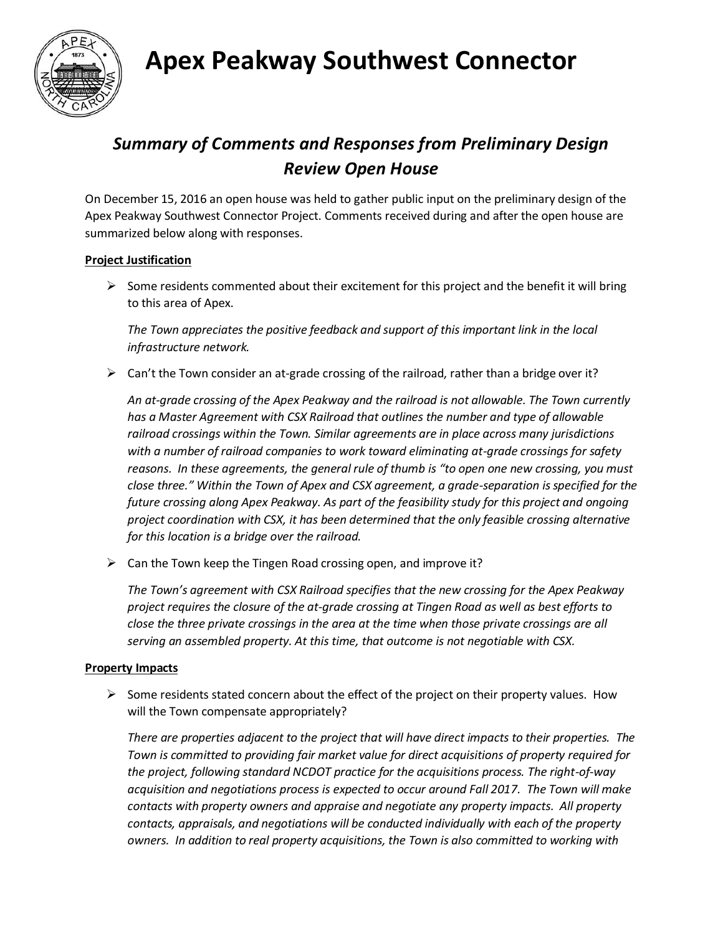**Apex Peakway Southwest Connector**



### *Summary of Comments and Responses from Preliminary Design Review Open House*

On December 15, 2016 an open house was held to gather public input on the preliminary design of the Apex Peakway Southwest Connector Project. Comments received during and after the open house are summarized below along with responses.

### **Project Justification**

 $\triangleright$  Some residents commented about their excitement for this project and the benefit it will bring to this area of Apex.

*The Town appreciates the positive feedback and support of this important link in the local infrastructure network.*

 $\triangleright$  Can't the Town consider an at-grade crossing of the railroad, rather than a bridge over it?

*An at-grade crossing of the Apex Peakway and the railroad is not allowable. The Town currently has a Master Agreement with CSX Railroad that outlines the number and type of allowable railroad crossings within the Town. Similar agreements are in place across many jurisdictions with a number of railroad companies to work toward eliminating at-grade crossings for safety reasons. In these agreements, the general rule of thumb is "to open one new crossing, you must close three." Within the Town of Apex and CSX agreement, a grade-separation is specified for the future crossing along Apex Peakway. As part of the feasibility study for this project and ongoing project coordination with CSX, it has been determined that the only feasible crossing alternative for this location is a bridge over the railroad.* 

 $\triangleright$  Can the Town keep the Tingen Road crossing open, and improve it?

*The Town's agreement with CSX Railroad specifies that the new crossing for the Apex Peakway project requires the closure of the at-grade crossing at Tingen Road as well as best efforts to close the three private crossings in the area at the time when those private crossings are all serving an assembled property. At this time, that outcome is not negotiable with CSX.* 

#### **Property Impacts**

 $\triangleright$  Some residents stated concern about the effect of the project on their property values. How will the Town compensate appropriately?

*There are properties adjacent to the project that will have direct impacts to their properties. The Town is committed to providing fair market value for direct acquisitions of property required for the project, following standard NCDOT practice for the acquisitions process. The right-of-way acquisition and negotiations process is expected to occur around Fall 2017. The Town will make contacts with property owners and appraise and negotiate any property impacts. All property contacts, appraisals, and negotiations will be conducted individually with each of the property owners. In addition to real property acquisitions, the Town is also committed to working with*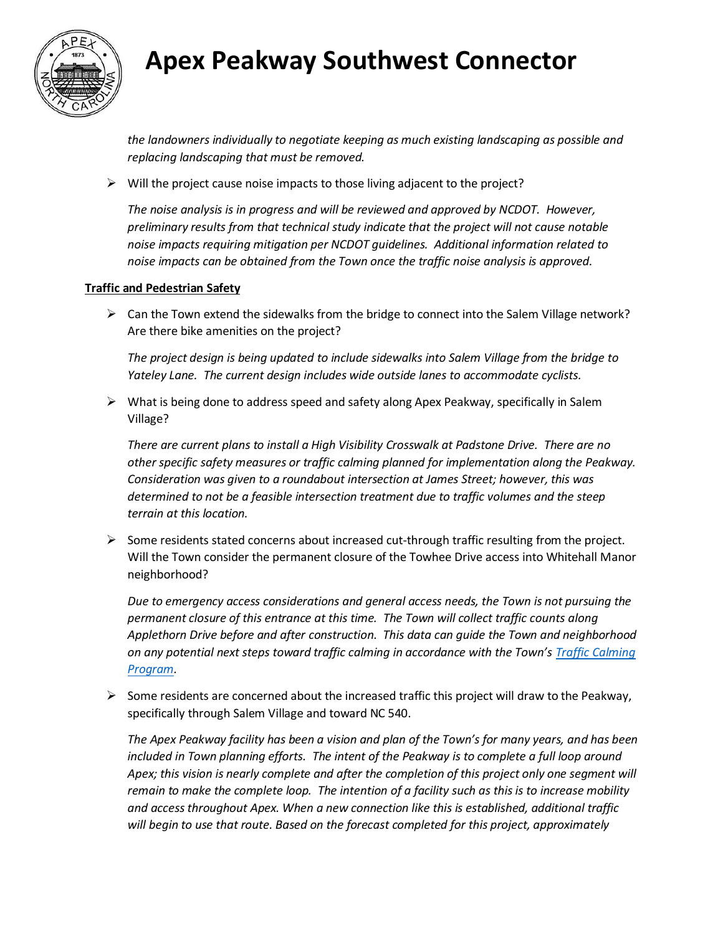

## **Apex Peakway Southwest Connector**

*the landowners individually to negotiate keeping as much existing landscaping as possible and replacing landscaping that must be removed.* 

 $\triangleright$  Will the project cause noise impacts to those living adjacent to the project?

*The noise analysis is in progress and will be reviewed and approved by NCDOT. However, preliminary results from that technical study indicate that the project will not cause notable noise impacts requiring mitigation per NCDOT guidelines. Additional information related to noise impacts can be obtained from the Town once the traffic noise analysis is approved.*

#### **Traffic and Pedestrian Safety**

 $\triangleright$  Can the Town extend the sidewalks from the bridge to connect into the Salem Village network? Are there bike amenities on the project?

*The project design is being updated to include sidewalks into Salem Village from the bridge to Yateley Lane. The current design includes wide outside lanes to accommodate cyclists.*

 $\triangleright$  What is being done to address speed and safety along Apex Peakway, specifically in Salem Village?

*There are current plans to install a High Visibility Crosswalk at Padstone Drive. There are no other specific safety measures or traffic calming planned for implementation along the Peakway. Consideration was given to a roundabout intersection at James Street; however, this was determined to not be a feasible intersection treatment due to traffic volumes and the steep terrain at this location.* 

 $\triangleright$  Some residents stated concerns about increased cut-through traffic resulting from the project. Will the Town consider the permanent closure of the Towhee Drive access into Whitehall Manor neighborhood?

*Due to emergency access considerations and general access needs, the Town is not pursuing the permanent closure of this entrance at this time. The Town will collect traffic counts along Applethorn Drive before and after construction. This data can guide the Town and neighborhood on any potential next steps toward traffic calming in accordance with the Town's [Traffic Calming](http://www.apexnc.org/205/Traffic-Calming-Program)  [Program.](http://www.apexnc.org/205/Traffic-Calming-Program)*

 $\triangleright$  Some residents are concerned about the increased traffic this project will draw to the Peakway, specifically through Salem Village and toward NC 540.

*The Apex Peakway facility has been a vision and plan of the Town's for many years, and has been*  included in Town planning efforts. The intent of the Peakway is to complete a full loop around *Apex; this vision is nearly complete and after the completion of this project only one segment will remain to make the complete loop. The intention of a facility such as this is to increase mobility and access throughout Apex. When a new connection like this is established, additional traffic will begin to use that route. Based on the forecast completed for this project, approximately*